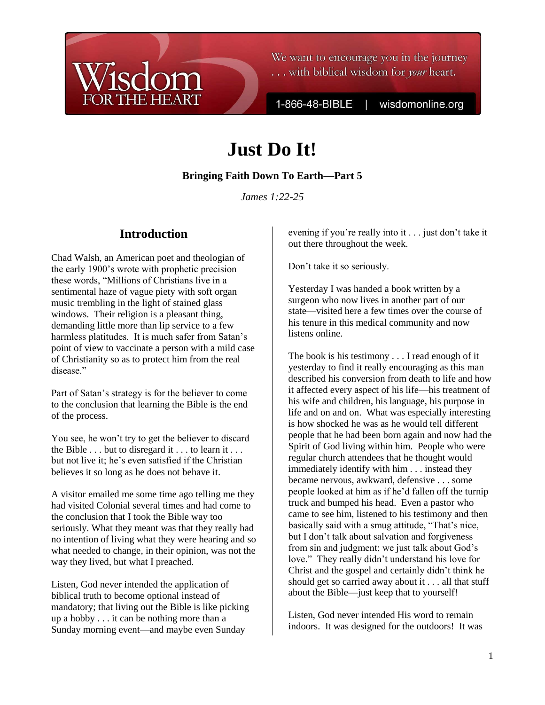

We want to encourage you in the journey ... with biblical wisdom for *your* heart.

1-866-48-BIBLE

wisdomonline.org

# **Just Do It!**

#### **Bringing Faith Down To Earth—Part 5**

*James 1:22-25*

# **Introduction**

Chad Walsh, an American poet and theologian of the early 1900"s wrote with prophetic precision these words, "Millions of Christians live in a sentimental haze of vague piety with soft organ music trembling in the light of stained glass windows. Their religion is a pleasant thing, demanding little more than lip service to a few harmless platitudes. It is much safer from Satan's point of view to vaccinate a person with a mild case of Christianity so as to protect him from the real disease."

Part of Satan's strategy is for the believer to come to the conclusion that learning the Bible is the end of the process.

You see, he won"t try to get the believer to discard the Bible  $\ldots$  but to disregard it  $\ldots$  to learn it  $\ldots$ but not live it; he"s even satisfied if the Christian believes it so long as he does not behave it.

A visitor emailed me some time ago telling me they had visited Colonial several times and had come to the conclusion that I took the Bible way too seriously. What they meant was that they really had no intention of living what they were hearing and so what needed to change, in their opinion, was not the way they lived, but what I preached.

Listen, God never intended the application of biblical truth to become optional instead of mandatory; that living out the Bible is like picking up a hobby . . . it can be nothing more than a Sunday morning event—and maybe even Sunday

evening if you"re really into it . . . just don"t take it out there throughout the week.

Don"t take it so seriously.

Yesterday I was handed a book written by a surgeon who now lives in another part of our state—visited here a few times over the course of his tenure in this medical community and now listens online.

The book is his testimony . . . I read enough of it yesterday to find it really encouraging as this man described his conversion from death to life and how it affected every aspect of his life—his treatment of his wife and children, his language, his purpose in life and on and on. What was especially interesting is how shocked he was as he would tell different people that he had been born again and now had the Spirit of God living within him. People who were regular church attendees that he thought would immediately identify with him . . . instead they became nervous, awkward, defensive . . . some people looked at him as if he"d fallen off the turnip truck and bumped his head. Even a pastor who came to see him, listened to his testimony and then basically said with a smug attitude, "That"s nice, but I don"t talk about salvation and forgiveness from sin and judgment; we just talk about God"s love." They really didn"t understand his love for Christ and the gospel and certainly didn"t think he should get so carried away about it . . . all that stuff about the Bible—just keep that to yourself!

Listen, God never intended His word to remain indoors. It was designed for the outdoors! It was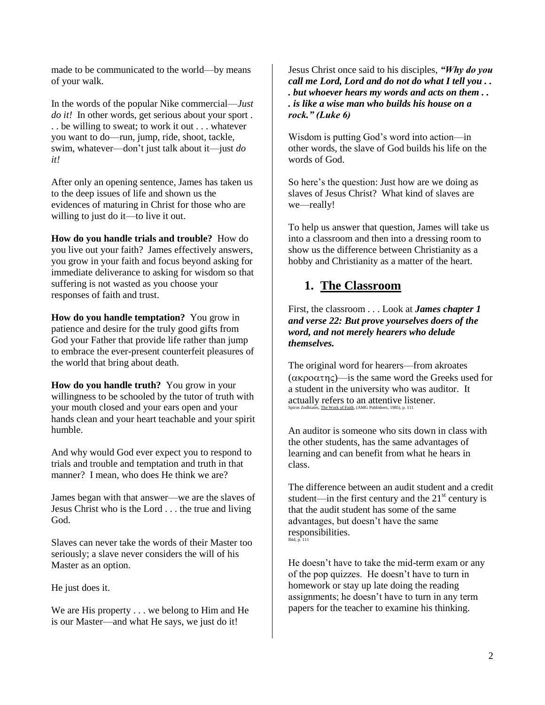made to be communicated to the world—by means of your walk.

In the words of the popular Nike commercial—*Just do it!* In other words, get serious about your sport. . . be willing to sweat; to work it out . . . whatever you want to do—run, jump, ride, shoot, tackle, swim, whatever—don"t just talk about it—just *do it!* 

After only an opening sentence, James has taken us to the deep issues of life and shown us the evidences of maturing in Christ for those who are willing to just do it—to live it out.

**How do you handle trials and trouble?** How do you live out your faith? James effectively answers, you grow in your faith and focus beyond asking for immediate deliverance to asking for wisdom so that suffering is not wasted as you choose your responses of faith and trust.

**How do you handle temptation?** You grow in patience and desire for the truly good gifts from God your Father that provide life rather than jump to embrace the ever-present counterfeit pleasures of the world that bring about death.

**How do you handle truth?** You grow in your willingness to be schooled by the tutor of truth with your mouth closed and your ears open and your hands clean and your heart teachable and your spirit humble.

And why would God ever expect you to respond to trials and trouble and temptation and truth in that manner? I mean, who does He think we are?

James began with that answer—we are the slaves of Jesus Christ who is the Lord . . . the true and living God.

Slaves can never take the words of their Master too seriously; a slave never considers the will of his Master as an option.

He just does it.

We are His property . . . we belong to Him and He is our Master—and what He says, we just do it!

Jesus Christ once said to his disciples, *"Why do you call me Lord, Lord and do not do what I tell you . . . but whoever hears my words and acts on them . . . is like a wise man who builds his house on a rock." (Luke 6)*

Wisdom is putting God"s word into action—in other words, the slave of God builds his life on the words of God.

So here's the question: Just how are we doing as slaves of Jesus Christ? What kind of slaves are we—really!

To help us answer that question, James will take us into a classroom and then into a dressing room to show us the difference between Christianity as a hobby and Christianity as a matter of the heart.

## **1. The Classroom**

First, the classroom . . . Look at *James chapter 1 and verse 22: But prove yourselves doers of the word, and not merely hearers who delude themselves.*

The original word for hearers—from akroates  $(\alpha \kappa \rho \alpha \sigma \pi \eta \varsigma)$ —is the same word the Greeks used for a student in the university who was auditor. It actually refers to an attentive listener. Spiros Zodhiates, The Work of Faith, (AMG Publishers, 1985), p. 111

An auditor is someone who sits down in class with the other students, has the same advantages of learning and can benefit from what he hears in class.

The difference between an audit student and a credit student—in the first century and the  $21<sup>st</sup>$  century is that the audit student has some of the same advantages, but doesn"t have the same responsibilities. Ibid, p. 111

He doesn"t have to take the mid-term exam or any of the pop quizzes. He doesn"t have to turn in homework or stay up late doing the reading assignments; he doesn"t have to turn in any term papers for the teacher to examine his thinking.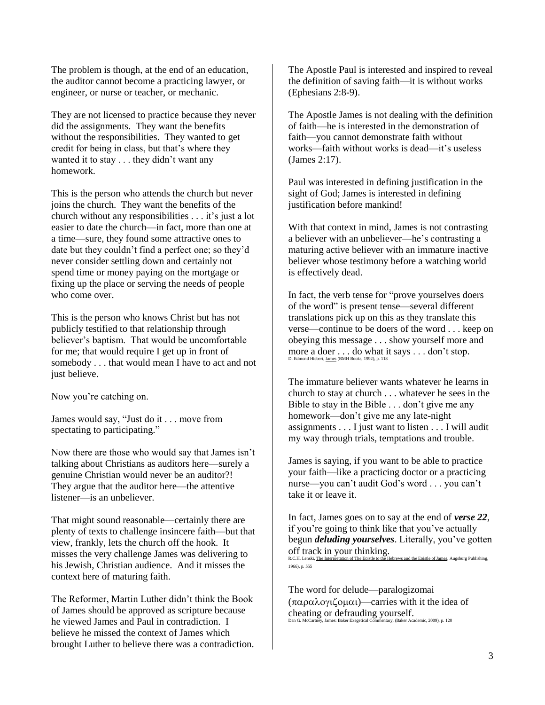The problem is though, at the end of an education, the auditor cannot become a practicing lawyer, or engineer, or nurse or teacher, or mechanic.

They are not licensed to practice because they never did the assignments. They want the benefits without the responsibilities. They wanted to get credit for being in class, but that"s where they wanted it to stay . . . they didn"t want any homework.

This is the person who attends the church but never joins the church. They want the benefits of the church without any responsibilities . . . it's just a lot easier to date the church—in fact, more than one at a time—sure, they found some attractive ones to date but they couldn"t find a perfect one; so they"d never consider settling down and certainly not spend time or money paying on the mortgage or fixing up the place or serving the needs of people who come over.

This is the person who knows Christ but has not publicly testified to that relationship through believer"s baptism. That would be uncomfortable for me; that would require I get up in front of somebody . . . that would mean I have to act and not just believe.

Now you"re catching on.

James would say, "Just do it . . . move from spectating to participating."

Now there are those who would say that James isn"t talking about Christians as auditors here—surely a genuine Christian would never be an auditor?! They argue that the auditor here—the attentive listener—is an unbeliever.

That might sound reasonable—certainly there are plenty of texts to challenge insincere faith—but that view, frankly, lets the church off the hook. It misses the very challenge James was delivering to his Jewish, Christian audience. And it misses the context here of maturing faith.

The Reformer, Martin Luther didn"t think the Book of James should be approved as scripture because he viewed James and Paul in contradiction. I believe he missed the context of James which brought Luther to believe there was a contradiction. The Apostle Paul is interested and inspired to reveal the definition of saving faith—it is without works (Ephesians 2:8-9).

The Apostle James is not dealing with the definition of faith—he is interested in the demonstration of faith—you cannot demonstrate faith without works—faith without works is dead—it"s useless (James 2:17).

Paul was interested in defining justification in the sight of God; James is interested in defining justification before mankind!

With that context in mind, James is not contrasting a believer with an unbeliever—he"s contrasting a maturing active believer with an immature inactive believer whose testimony before a watching world is effectively dead.

In fact, the verb tense for "prove yourselves doers of the word" is present tense—several different translations pick up on this as they translate this verse—continue to be doers of the word . . . keep on obeying this message . . . show yourself more and more a doer . . . do what it says . . . don't stop. D. Edmond Hiebert, James (BMH Books, 1992), p. 118

The immature believer wants whatever he learns in church to stay at church . . . whatever he sees in the Bible to stay in the Bible . . . don't give me any homework—don"t give me any late-night assignments . . . I just want to listen . . . I will audit my way through trials, temptations and trouble.

James is saying, if you want to be able to practice your faith—like a practicing doctor or a practicing nurse—you can't audit God's word . . . you can't take it or leave it.

In fact, James goes on to say at the end of *verse 22*, if you"re going to think like that you"ve actually begun *deluding yourselves*. Literally, you"ve gotten Off track in your thinking. and the Epistle of James, Augsburg Publishing,

1966), p. 555

The word for delude—paralogizomai  $(\pi \alpha \rho \alpha \lambda o \gamma \zeta o \mu \alpha t)$ —carries with it the idea of cheating or defrauding yourself. ry, (Baker Academic, 2009), p. 120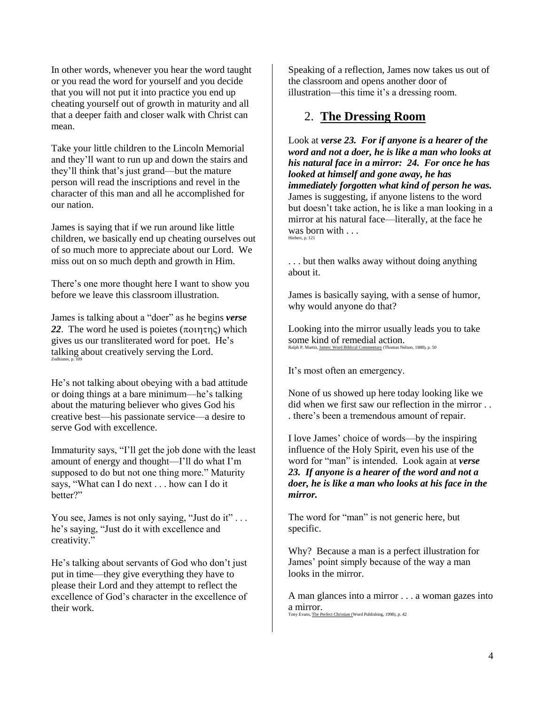In other words, whenever you hear the word taught or you read the word for yourself and you decide that you will not put it into practice you end up cheating yourself out of growth in maturity and all that a deeper faith and closer walk with Christ can mean.

Take your little children to the Lincoln Memorial and they"ll want to run up and down the stairs and they"ll think that"s just grand—but the mature person will read the inscriptions and revel in the character of this man and all he accomplished for our nation.

James is saying that if we run around like little children, we basically end up cheating ourselves out of so much more to appreciate about our Lord. We miss out on so much depth and growth in Him.

There's one more thought here I want to show you before we leave this classroom illustration.

James is talking about a "doer" as he begins *verse*  22. The word he used is poietes  $(\pi$ ountric) which gives us our transliterated word for poet. He"s talking about creatively serving the Lord. Zodhiates, p. 10

He"s not talking about obeying with a bad attitude or doing things at a bare minimum—he"s talking about the maturing believer who gives God his creative best—his passionate service—a desire to serve God with excellence.

Immaturity says, "I"ll get the job done with the least amount of energy and thought—I"ll do what I"m supposed to do but not one thing more." Maturity says, "What can I do next . . . how can I do it better?"

You see, James is not only saying, "Just do it" ... he"s saying, "Just do it with excellence and creativity."

He's talking about servants of God who don't just put in time—they give everything they have to please their Lord and they attempt to reflect the excellence of God"s character in the excellence of their work.

Speaking of a reflection, James now takes us out of the classroom and opens another door of illustration—this time it's a dressing room.

### 2. **The Dressing Room**

Look at *verse 23. For if anyone is a hearer of the word and not a doer, he is like a man who looks at his natural face in a mirror: 24. For once he has looked at himself and gone away, he has immediately forgotten what kind of person he was.* James is suggesting, if anyone listens to the word but doesn"t take action, he is like a man looking in a mirror at his natural face—literally, at the face he was born with . . . Hiebert, p. 121

. . . but then walks away without doing anything about it.

James is basically saying, with a sense of humor, why would anyone do that?

Looking into the mirror usually leads you to take SOME kind of remedial action.<br>Ralph P. Martin, James: Word Biblical Commentary (Thomas Nelson, 1988), p. 50 Ralph P. Martin, James: Word Biblical Com

It"s most often an emergency.

None of us showed up here today looking like we did when we first saw our reflection in the mirror . . . there"s been a tremendous amount of repair.

I love James" choice of words—by the inspiring influence of the Holy Spirit, even his use of the word for "man" is intended. Look again at *verse 23. If anyone is a hearer of the word and not a doer, he is like a man who looks at his face in the mirror.*

The word for "man" is not generic here, but specific.

Why? Because a man is a perfect illustration for James' point simply because of the way a man looks in the mirror.

A man glances into a mirror . . . a woman gazes into a mirror. Tony Evans, The Perfect Christian (Word Publishing, 1998), p. 42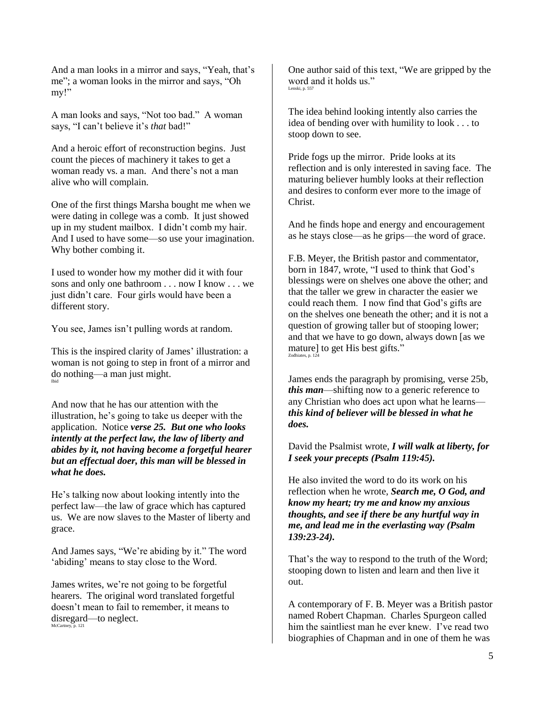And a man looks in a mirror and says, "Yeah, that"s me"; a woman looks in the mirror and says, "Oh my!"

A man looks and says, "Not too bad." A woman says, "I can't believe it's *that* bad!"

And a heroic effort of reconstruction begins. Just count the pieces of machinery it takes to get a woman ready vs. a man. And there's not a man alive who will complain.

One of the first things Marsha bought me when we were dating in college was a comb. It just showed up in my student mailbox. I didn"t comb my hair. And I used to have some—so use your imagination. Why bother combing it.

I used to wonder how my mother did it with four sons and only one bathroom . . . now I know . . . we just didn"t care. Four girls would have been a different story.

You see, James isn"t pulling words at random.

This is the inspired clarity of James' illustration: a woman is not going to step in front of a mirror and do nothing—a man just might. Ibid

And now that he has our attention with the illustration, he"s going to take us deeper with the application. Notice *verse 25. But one who looks intently at the perfect law, the law of liberty and abides by it, not having become a forgetful hearer but an effectual doer, this man will be blessed in what he does.*

He"s talking now about looking intently into the perfect law—the law of grace which has captured us. We are now slaves to the Master of liberty and grace.

And James says, "We"re abiding by it." The word 'abiding' means to stay close to the Word.

James writes, we"re not going to be forgetful hearers. The original word translated forgetful doesn"t mean to fail to remember, it means to disregard—to neglect. McCartney, p. 121

One author said of this text, "We are gripped by the word and it holds us." Lenski, p. 557

The idea behind looking intently also carries the idea of bending over with humility to look . . . to stoop down to see.

Pride fogs up the mirror. Pride looks at its reflection and is only interested in saving face. The maturing believer humbly looks at their reflection and desires to conform ever more to the image of Christ.

And he finds hope and energy and encouragement as he stays close—as he grips—the word of grace.

F.B. Meyer, the British pastor and commentator, born in 1847, wrote, "I used to think that God's blessings were on shelves one above the other; and that the taller we grew in character the easier we could reach them. I now find that God"s gifts are on the shelves one beneath the other; and it is not a question of growing taller but of stooping lower; and that we have to go down, always down [as we mature] to get His best gifts." Zodhiates, p. 12

James ends the paragraph by promising, verse 25b, *this man*—shifting now to a generic reference to any Christian who does act upon what he learns *this kind of believer will be blessed in what he does.*

David the Psalmist wrote, *I will walk at liberty, for I seek your precepts (Psalm 119:45).*

He also invited the word to do its work on his reflection when he wrote, *Search me, O God, and know my heart; try me and know my anxious thoughts, and see if there be any hurtful way in me, and lead me in the everlasting way (Psalm 139:23-24).*

That's the way to respond to the truth of the Word; stooping down to listen and learn and then live it out.

A contemporary of F. B. Meyer was a British pastor named Robert Chapman. Charles Spurgeon called him the saintliest man he ever knew. I've read two biographies of Chapman and in one of them he was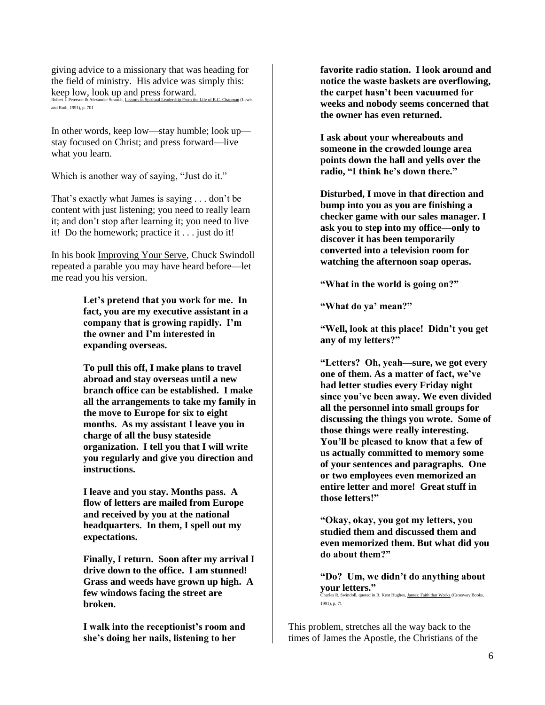giving advice to a missionary that was heading for the field of ministry. His advice was simply this: keep low, look up and press forward.

Robert L Peterson & Alexander Strauch, Lessons in Spiritual Leadership From the Life of R.C. Chapman (Lewis and Roth, 1991), p. 701

In other words, keep low—stay humble; look up stay focused on Christ; and press forward—live what you learn.

Which is another way of saying, "Just do it."

That's exactly what James is saying . . . don't be content with just listening; you need to really learn it; and don"t stop after learning it; you need to live it! Do the homework; practice it . . . just do it!

In his book Improving Your Serve, Chuck Swindoll repeated a parable you may have heard before—let me read you his version.

> **Let's pretend that you work for me. In fact, you are my executive assistant in a company that is growing rapidly. I'm the owner and I'm interested in expanding overseas.**

**To pull this off, I make plans to travel abroad and stay overseas until a new branch office can be established. I make all the arrangements to take my family in the move to Europe for six to eight months. As my assistant I leave you in charge of all the busy stateside organization. I tell you that I will write you regularly and give you direction and instructions.** 

**I leave and you stay. Months pass. A flow of letters are mailed from Europe and received by you at the national headquarters. In them, I spell out my expectations.** 

**Finally, I return. Soon after my arrival I drive down to the office. I am stunned! Grass and weeds have grown up high. A few windows facing the street are broken.** 

**I walk into the receptionist's room and she's doing her nails, listening to her** 

**favorite radio station. I look around and notice the waste baskets are overflowing, the carpet hasn't been vacuumed for weeks and nobody seems concerned that the owner has even returned.** 

**I ask about your whereabouts and someone in the crowded lounge area points down the hall and yells over the radio, "I think he's down there."**

**Disturbed, I move in that direction and bump into you as you are finishing a checker game with our sales manager. I ask you to step into my office—only to discover it has been temporarily converted into a television room for watching the afternoon soap operas.**

**"What in the world is going on?"**

**"What do ya' mean?"**

**"Well, look at this place! Didn't you get any of my letters?"**

**"Letters? Oh, yeah—sure, we got every one of them. As a matter of fact, we've had letter studies every Friday night since you've been away. We even divided all the personnel into small groups for discussing the things you wrote. Some of those things were really interesting. You'll be pleased to know that a few of us actually committed to memory some of your sentences and paragraphs. One or two employees even memorized an entire letter and more! Great stuff in those letters!"**

**"Okay, okay, you got my letters, you studied them and discussed them and even memorized them. But what did you do about them?"**

**"Do? Um, we didn't do anything about your letters."** Charles R. Swindoll, quoted in R. Kent Hughes, James: Faith that Works (Crossway Books, 1991), p. 71

This problem, stretches all the way back to the times of James the Apostle, the Christians of the